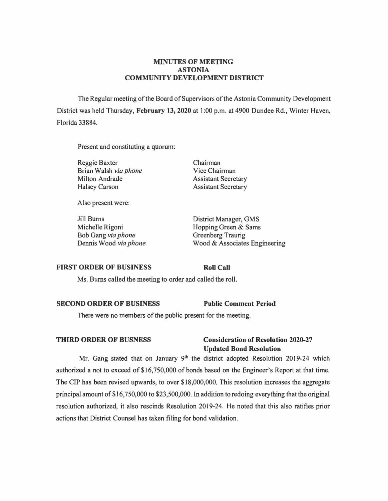### **MINUTES OF MEETING ASTONTA COMMUNITY DEVELOPMENT DISTRICT**

The Regular meeting of the Board of Supervisors of the Astonia Community Development District was held Thursday, **February 13, 2020** at 1 :00 p.m. at 4900 Dundee Rd., Winter Haven, Florida 33884.

Present and constituting a quorum:

Reggie Baxter Brian Walsh *via phone*  Milton Andrade Halsey Carson

Chairman Vice Chairman Assistant Secretary Assistant Secretary

Also present were:

**Jill** Bums Michelle Rigoni Bob Gang *via phone*  Dennis Wood *via phone* 

District Manager, GMS Hopping Green & Sams Greenberg Traurig Wood & Associates Engineering

### **FIRST ORDER OF BUSINESS**

**Roll Call** 

Ms. Burns called the meeting to order and called the roll.

### **SECOND ORDER OF BUSINESS Public Comment Period**

There were no members of the public present for the meeting.

## **THIRD ORDER OF BUSNESS Consideration of Resolution 2020-27 Updated Bond Resolution**

Mr. Gang stated that on January  $9<sup>th</sup>$  the district adopted Resolution 2019-24 which authorized a not to exceed of \$16,750,000 of bonds based on the Engineer's Report at that time. The CIP has been revised upwards, to over \$18,000,000. This resolution increases the aggregate principal amount of \$16,750,000 to \$23,500,000. ln addition to redoing everything that the original resolution authorized, it also rescinds Resolution 2019-24. He noted that this also ratifies prior actions that District Counsel has taken filing for bond validation.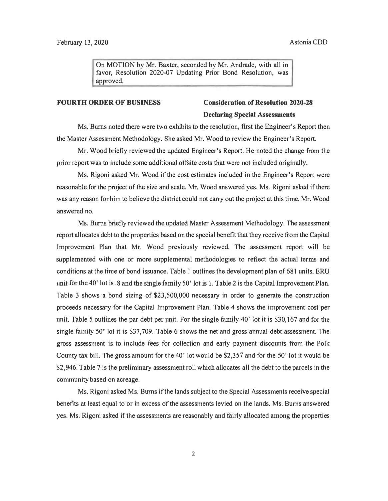On MOTION by Mr. Baxter, seconded by Mr. Andrade, with all in favor, Resolution 2020-07 Updating Prior Bond Resolution, was approved.

# **FOURTH ORDER OF BUSINESS Consideration of Resolution 2020-28 Declaring Special Assessments**

Ms. Burns noted there were two exhibits to the resolution, first the Engineer's Report then the Master Assessment Methodology. She asked Mr. Wood to review the Engineer's Report.

Mr. Wood briefly reviewed the updated Engineer's Report. He noted the change from the prior report was to include some additional offsite costs that were not included originally.

Ms. Rigoni asked Mr. Wood if the cost estimates included in the Engineer's Report were reasonable for the project of the size and scale. Mr. Wood answered yes. Ms. Rigoni asked if there was any reason for him to believe the district could not carry out the project at this time. Mr. Wood answered no.

Ms. Burns briefly reviewed the updated Master Assessment Methodology. The assessment report allocates debt to the properties based on the special benefit that they receive from the Capital Improvement Plan that Mr. Wood previously reviewed. The assessment report will be supplemented with one or more supplemental methodologies to reflect the actual terms and conditions at the time of bond issuance. Table I outlines the development plan of 681 units. ERU unit for the 40' lot is .8 and the single family 50' lot is 1. Table 2 is the Capital Improvement Plan. Table 3 shows a bond sizing of \$23,500,000 necessary in order to generate the construction proceeds necessary for the Capital Improvement Plan. Table 4 shows the improvement cost per unit. Table 5 outlines the par debt per unit. For the single family 40' lot it is \$30,167 and for the single family 50' lot it is \$37,709. Table 6 shows the net and gross annual debt assessment. The gross assessment is to include fees for collection and early payment discounts from the Polk County tax bill. The gross amount for the 40' lot would be \$2,357 and for the 50' lot it would be \$2,946. Table 7 is the preliminary assessment roll which allocates all the debt to the parcels in the community based on acreage.

Ms. Rigoni asked Ms. Burns if the lands subject to the Special Assessments receive special benefits at least equal to or in excess of the assessments levied on the lands. Ms. Bums answered yes. Ms. Rigoni asked if the assessments are reasonably and fairly allocated among the properties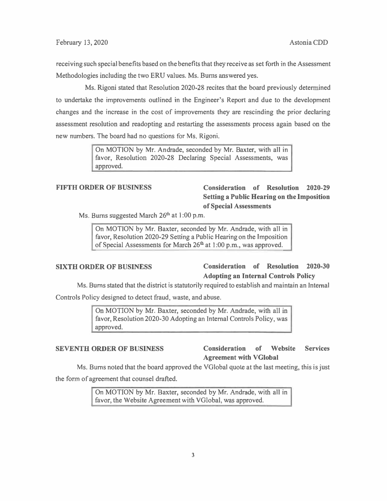receiving such special benefits based on the benefits that they receive as set forth in the Assessment Methodologies including the two ERU values. Ms. Bums answered yes.

Ms. Rigoni stated that Resolution 2020-28 recites that the board previously determined to undertake the improvements outlined in the Engineer's Report and due to the development changes and the increase in the cost of improvements they are rescinding the prior declaring assessment resolution and readopting and restarting the assessments process again based on the new numbers. The board had no questions for Ms. Rigoni.

> On MOTION by Mr. Andrade, seconded by Mr. Baxter, with all in favor, Resolution 2020-28 Declaring Special Assessments, was approved.

## **FIFTH ORDER OF BUSINESS Consideration of Resolution 2020-29 Setting a Public Hearing on the Imposition of Special Assessments**

Ms. Burns suggested March  $26<sup>th</sup>$  at 1:00 p.m.

On MOTION by Mr. Baxter, seconded by Mr. Andrade, with all in favor, Resolution 2020-29 Setting a Public Hearing on the Imposition of Special Assessments for March  $26<sup>th</sup>$  at 1:00 p.m., was approved.

## **SIXTH ORDER OF BUSINESS Consideration of Resolution 2020-30 Adopting an Internal Controls Policy**

Ms. Bums stated that the district is statutorily required to establish and maintain an Internal

Controls Policy designed to detect fraud, waste, and abuse.

On MOTION by Mr. Baxter, seconded by Mr. Andrade, with all in favor, Resolution 2020-30 Adopting an Internal Controls Policy, was approved.

## **SEVENTH ORDER OF BUSINESS Consideration of Website Services Agreement with VGlobal**

Ms. Bums noted that the board approved the VGlobal quote at the last meeting, this is just

the form of agreement that counsel drafted.

On MOTION by Mr. Baxter, seconded by Mr. Andrade, with all in favor, the Website Agreement with VGlobal, was approved.